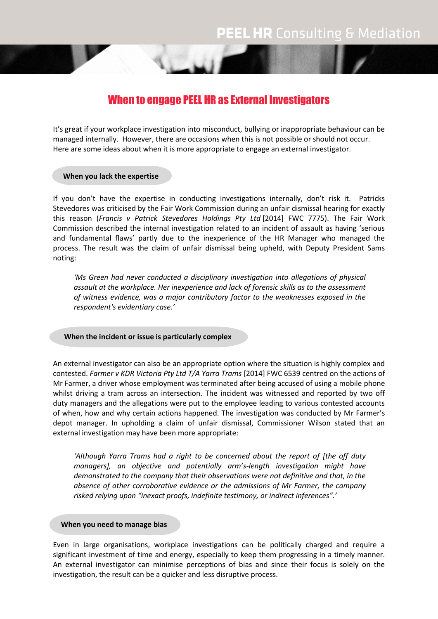# When to engage PEEL HR as External Investigators

It's great if your workplace investigation into misconduct, bullying or inappropriate behaviour can be managed internally. However, there are occasions when this is not possible or should not occur. Here are some ideas about when it is more appropriate to engage an external investigator.

### **When you lack the expertise**

If you don't have the expertise in conducting investigations internally, don't risk it. Patricks Stevedores was criticised by the Fair Work Commission during an unfair dismissal hearing for exactly this reason (*Francis v Patrick Stevedores Holdings Pty Ltd* [2014] FWC 7775). The Fair Work Commission described the internal investigation related to an incident of assault as having 'serious and fundamental flaws' partly due to the inexperience of the HR Manager who managed the process. The result was the claim of unfair dismissal being upheld, with Deputy President Sams noting:

*'Ms Green had never conducted a disciplinary investigation into allegations of physical assault at the workplace. Her inexperience and lack of forensic skills as to the assessment of witness evidence, was a major contributory factor to the weaknesses exposed in the respondent's evidentiary case.'*

# **When the incident or issue is particularly complex**

An external investigator can also be an appropriate option where the situation is highly complex and contested. *Farmer v KDR Victoria Pty Ltd T/A Yarra Trams* [2014] FWC 6539 centred on the actions of Mr Farmer, a driver whose employment was terminated after being accused of using a mobile phone whilst driving a tram across an intersection. The incident was witnessed and reported by two off duty managers and the allegations were put to the employee leading to various contested accounts of when, how and why certain actions happened. The investigation was conducted by Mr Farmer's depot manager. In upholding a claim of unfair dismissal, Commissioner Wilson stated that an external investigation may have been more appropriate:

*'Although Yarra Trams had a right to be concerned about the report of [the off duty managers], an objective and potentially arm's-length investigation might have demonstrated to the company that their observations were not definitive and that, in the absence of other corroborative evidence or the admissions of Mr Farmer, the company risked relying upon "inexact proofs, indefinite testimony, or indirect inferences".'*

#### **When you need to manage bias**

Even in large organisations, workplace investigations can be politically charged and require a significant investment of time and energy, especially to keep them progressing in a timely manner. An external investigator can minimise perceptions of bias and since their focus is solely on the investigation, the result can be a quicker and less disruptive process.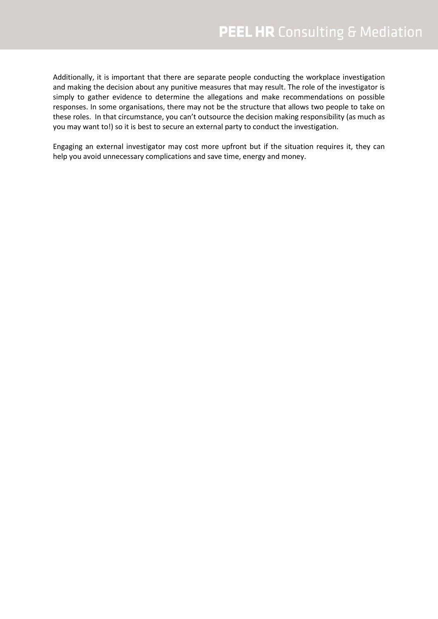Additionally, it is important that there are separate people conducting the workplace investigation and making the decision about any punitive measures that may result. The role of the investigator is simply to gather evidence to determine the allegations and make recommendations on possible responses. In some organisations, there may not be the structure that allows two people to take on these roles. In that circumstance, you can't outsource the decision making responsibility (as much as you may want to!) so it is best to secure an external party to conduct the investigation.

Engaging an external investigator may cost more upfront but if the situation requires it, they can help you avoid unnecessary complications and save time, energy and money.